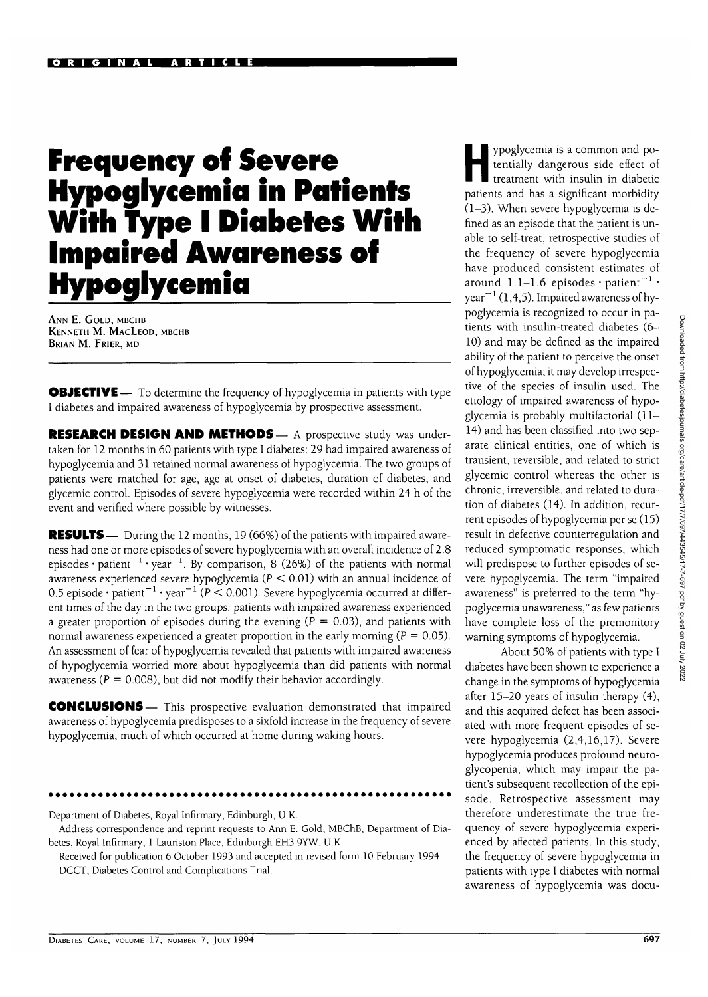# **Frequency of Severe Hypoglycemia in Patients With Type I Diabetes With Impaired Awareness of Hypoglycemia**

**ANN E. GOLD, MBCHB KENNETH M. MACLEOD, MBCHB BRIAN M. FRIER, MD**

**OBJECTIVE** — To determine the frequency of hypoglycemia in patients with type I diabetes and impaired awareness of hypoglycemia by prospective assessment.

RESEARCH DESIGN AND METHODS - A prospective study was undertaken for 12 months in 60 patients with type I diabetes: 29 had impaired awareness of hypoglycemia and 31 retained normal awareness of hypoglycemia. The two groups of patients were matched for age, age at onset of diabetes, duration of diabetes, and glycemic control. Episodes of severe hypoglycemia were recorded within 24 h of the event and verified where possible by witnesses.

**RESULTS**— During the 12 months, 19 (66%) of the patients with impaired awareness had one or more episodes of severe hypoglycemia with an overall incidence of 2.8 episodes  $\cdot$  patient $^{-1}\cdot$  year $^{-1}$ . By comparison, 8 (26%) of the patients with normal awareness experienced severe hypoglycemia ( $P < 0.01$ ) with an annual incidence of 0.5 episode  $\cdot$  patient $^{-1}$   $\cdot$  year $^{-1}$  (P  $<$  0.001). Severe hypoglycemia occurred at different times of the day in the two groups: patients with impaired awareness experienced a greater proportion of episodes during the evening ( $P = 0.03$ ), and patients with normal awareness experienced a greater proportion in the early morning ( $P = 0.05$ ). An assessment of fear of hypoglycemia revealed that patients with impaired awareness of hypoglycemia worried more about hypoglycemia than did patients with normal awareness ( $P = 0.008$ ), but did not modify their behavior accordingly.

CONCLUSIONS— This prospective evaluation demonstrated that impaired awareness of hypoglycemia predisposes to a sixfold increase in the frequency of severe hypoglycemia, much of which occurred at home during waking hours.

Department of Diabetes, Royal Infirmary, Edinburgh, U.K.

Address correspondence and reprint requests to Ann E. Gold, MBChB, Department of Diabetes, Royal Infirmary, 1 Lauriston Place, Edinburgh EH3 9YW, U.K.

Received for publication 6 October 1993 and accepted in revised form 10 February 1994. DCCT, Diabetes Control and Complications Trial.

ypoglycemia is a common and po-<br>tentially dangerous side effect of<br>treatment with insulin in diabetic tentially dangerous side effect of treatment with insulin in diabetic patients and has a significant morbidity (1-3). When severe hypoglycemia is defined as an episode that the patient is unable to self-treat, retrospective studies of the frequency of severe hypoglycemia have produced consistent estimates of around  $1.1–1.6$  episodes  $\cdot$  patient  $^{-1}$   $\cdot$ year<sup> $-1$ </sup> (1,4,5). Impaired awareness of hypoglycemia is recognized to occur in patients with insulin-treated diabetes (6- 10) and may be defined as the impaired ability of the patient to perceive the onset of hypoglycemia; it may develop irrespective of the species of insulin used. The etiology of impaired awareness of hypoglycemia is probably multifactorial (11— 14) and has been classified into two separate clinical entities, one of which is transient, reversible, and related to strict glycemic control whereas the other is chronic, irreversible, and related to duration of diabetes (14). In addition, recurrent episodes of hypoglycemia per se (15) result in defective counterregulation and reduced symptomatic responses, which will predispose to further episodes of severe hypoglycemia. The term "impaired awareness" is preferred to the term "hypoglycemia unawareness," as few patients have complete loss of the premonitory warning symptoms of hypoglycemia.

About 50% of patients with type I diabetes have been shown to experience a change in the symptoms of hypoglycemia after 15-20 years of insulin therapy (4), and this acquired defect has been associated with more frequent episodes of severe hypoglycemia (2,4,16,17). Severe hypoglycemia produces profound neuroglycopenia, which may impair the patient's subsequent recollection of the episode. Retrospective assessment may therefore underestimate the true frequency of severe hypoglycemia experienced by affected patients. In this study, the frequency of severe hypoglycemia in patients with type I diabetes with normal awareness of hypoglycemia was docu-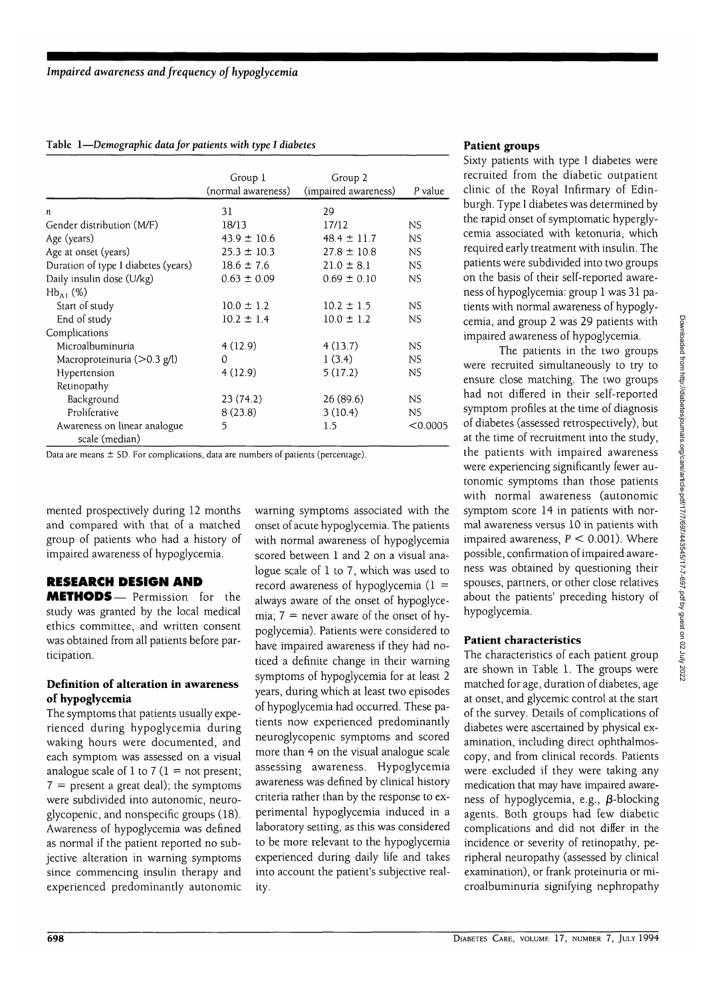## Table 1—*Demographic data for patients with type I diabetes*

|                                                | Group 1<br>(normal awareness) | Group 2<br>(impaired awareness) | P value   |
|------------------------------------------------|-------------------------------|---------------------------------|-----------|
|                                                | 31                            | 29                              |           |
| n                                              |                               |                                 |           |
| Gender distribution (M/F)                      | 18/13                         | 17/12                           | NS.       |
| Age (years)                                    | $43.9 \pm 10.6$               | $48.4 \pm 11.7$                 | <b>NS</b> |
| Age at onset (years)                           | $25.3 \pm 10.3$               | $27.8 \pm 10.8$                 | <b>NS</b> |
| Duration of type I diabetes (years)            | $18.6 \pm 7.6$                | $21.0 \pm 8.1$                  | NS.       |
| Daily insulin dose (U/kg)                      | $0.63 \pm 0.09$               | $0.69 \pm 0.10$                 | NS        |
| $Hb_{A1}$ (%)                                  |                               |                                 |           |
| Start of study                                 | $10.0 \pm 1.2$                | $10.2 \pm 1.5$                  | ΝS        |
| End of study                                   | $10.2 \pm 1.4$                | $10.0 \pm 1.2$                  | NS        |
| Complications                                  |                               |                                 |           |
| Microalbuminuria                               | 4(12.9)                       | 4(13.7)                         | <b>NS</b> |
| Macroproteinuria ( $>0.3$ g/l)                 | $\Omega$                      | 1(3.4)                          | NS.       |
| Hypertension                                   | 4(12.9)                       | 5(17.2)                         | NS.       |
| Retinopathy                                    |                               |                                 |           |
| Background                                     | 23(74.2)                      | 26(89.6)                        | NS        |
| Proliferative                                  | 8(23.8)                       | 3(10.4)                         | NS.       |
| Awareness on linear analogue<br>scale (median) | 5                             | 1.5                             | < 0.0005  |

Data are means ± SD. For complications, data are numbers of patients (percentage).

merited prospectively during 12 months and compared with that of a matched group of patients who had a history of impaired awareness of hypoglycemia.

# **RESEARCH DESIGN AND**

**METHODS**— Permission for the study was granted by the local medical ethics committee, and written consent was obtained from all patients before participation.

## **Definition of alteration in awareness of hypoglycemia**

The symptoms that patients usually experienced during hypoglycemia during waking hours were documented, and each symptom was assessed on a visual analogue scale of 1 to 7 ( $1 =$  not present;  $7 =$  present a great deal); the symptoms were subdivided into autonomic, neuroglycopenic, and nonspecific groups (18). Awareness of hypoglycemia was defined as normal if the patient reported no subjective alteration in warning symptoms since commencing insulin therapy and experienced predominantly autonomic

warning symptoms associated with the onset of acute hypoglycemia. The patients with normal awareness of hypoglycemia scored between 1 and 2 on a visual analogue scale of 1 to 7, which was used to record awareness of hypoglycemia ( $1 =$ always aware of the onset of hypoglycemia;  $7 =$  never aware of the onset of hypoglycemia). Patients were considered to have impaired awareness if they had noticed a definite change in their warning symptoms of hypoglycemia for at least 2 years, during which at least two episodes of hypoglycemia had occurred. These patients now experienced predominantly neuroglycopenic symptoms and scored more than 4 on the visual analogue scale assessing awareness. Hypoglycemia awareness was defined by clinical history criteria rather than by the response to experimental hypoglycemia induced in a laboratory setting, as this was considered to be more relevant to the hypoglycemia experienced during daily life and takes into account the patient's subjective reality.

## **Patient groups**

Sixty patients with type I diabetes were recruited from the diabetic outpatient clinic of the Royal Infirmary of Edinburgh. Type I diabetes was determined by the rapid onset of symptomatic hyperglycemia associated with ketonuria, which required early treatment with insulin. The patients were subdivided into two groups on the basis of their self-reported awareness of hypoglycemia: group 1 was 31 patients with normal awareness of hypoglycemia, and group 2 was 29 patients with impaired awareness of hypoglycemia.

The patients in the two groups were recruited simultaneously to try to ensure close matching. The two groups had not differed in their self-reported symptom profiles at the time of diagnosis of diabetes (assessed retrospectively), but at the time of recruitment into the study, the patients with impaired awareness were experiencing significantly fewer autonomic symptoms than those patients with normal awareness (autonomic symptom score 14 in patients with normal awareness versus 10 in patients with impaired awareness,  $P < 0.001$ ). Where possible, confirmation of impaired awareness was obtained by questioning their spouses, partners, or other close relatives about the patients' preceding history of hypoglycemia.

# **Patient characteristics**

The characteristics of each patient group are shown in Table 1. The groups were matched for age, duration of diabetes, age at onset, and glycemic control at the start of the survey. Details of complications of diabetes were ascertained by physical examination, including direct ophthalmoscopy, and from clinical records. Patients were excluded if they were taking any medication that may have impaired awareness of hypoglycemia, e.g.,  $\beta$ -blocking agents. Both groups had few diabetic complications and did not differ in the incidence or severity of retinopathy, peripheral neuropathy (assessed by clinical examination), or frank proteinuria or microalbuminuria signifying nephropathy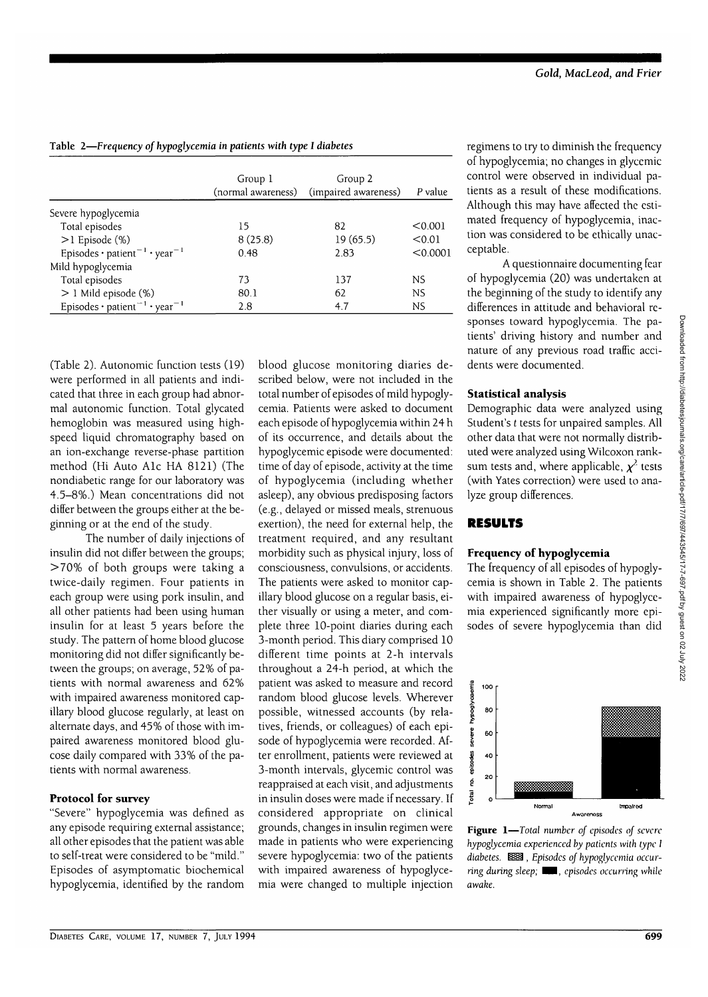|                                                                    | Group 1<br>(normal awareness) | Group 2<br>(impaired awareness) | P value   |
|--------------------------------------------------------------------|-------------------------------|---------------------------------|-----------|
| Severe hypoglycemia                                                |                               |                                 |           |
| Total episodes                                                     | 15                            | 82                              | < 0.001   |
| $>1$ Episode (%)                                                   | 8(25.8)                       | 19(65.5)                        | < 0.01    |
| Episodes · patient <sup>-1</sup> · year <sup>-1</sup>              | 0.48                          | 2.83                            | < 0.0001  |
| Mild hypoglycemia                                                  |                               |                                 |           |
| Total episodes                                                     | 73                            | 137                             | <b>NS</b> |
| $> 1$ Mild episode (%)                                             | 80.1                          | 62                              | NS.       |
| Episodes · patient <sup><math>-1</math></sup> · year <sup>-1</sup> | 2.8                           | 4.7                             | NS        |

Table 2—*Frequency of hypoglycemia in patients with type I diabetes*

(Table 2). Autonomic function tests (19) were performed in all patients and indicated that three in each group had abnormal autonomic function. Total glycated hemoglobin was measured using highspeed liquid chromatography based on an ion-exchange reverse-phase partition method (Hi Auto Ale HA 8121) (The nondiabetic range for our laboratory was 4.5-8%.) Mean concentrations did not differ between the groups either at the beginning or at the end of the study.

The number of daily injections of insulin did not differ between the groups; >70% of both groups were taking a twice-daily regimen. Four patients in each group were using pork insulin, and all other patients had been using human insulin for at least 5 years before the study. The pattern of home blood glucose monitoring did not differ significantly between the groups; on average, 52% of patients with normal awareness and 62% with impaired awareness monitored capillary blood glucose regularly, at least on alternate days, and 45% of those with impaired awareness monitored blood glucose daily compared with 33% of the patients with normal awareness.

# **Protocol for survey**

"Severe" hypoglycemia was defined as any episode requiring external assistance; all other episodes that the patient was able to self-treat were considered to be "mild." Episodes of asymptomatic biochemical hypoglycemia, identified by the random blood glucose monitoring diaries described below, were not included in the total number of episodes of mild hypoglycemia. Patients were asked to document each episode of hypoglycemia within 24 h of its occurrence, and details about the hypoglycemic episode were documented: time of day of episode, activity at the time of hypoglycemia (including whether asleep), any obvious predisposing factors (e.g., delayed or missed meals, strenuous exertion), the need for external help, the treatment required, and any resultant morbidity such as physical injury, loss of consciousness, convulsions, or accidents. The patients were asked to monitor capillary blood glucose on a regular basis, either visually or using a meter, and complete three 10-point diaries during each 3-month period. This diary comprised 10 different time points at 2-h intervals throughout a 24-h period, at which the patient was asked to measure and record random blood glucose levels. Wherever possible, witnessed accounts (by relatives, friends, or colleagues) of each episode of hypoglycemia were recorded. After enrollment, patients were reviewed at 3-month intervals, glycemic control was reappraised at each visit, and adjustments in insulin doses were made if necessary. If considered appropriate on clinical grounds, changes in insulin regimen were made in patients who were experiencing severe hypoglycemia: two of the patients with impaired awareness of hypoglycemia were changed to multiple injection

regimens to try to diminish the frequency of hypoglycemia; no changes in glycemic control were observed in individual patients as a result of these modifications. Although this may have affected the estimated frequency of hypoglycemia, inaction was considered to be ethically unacceptable.

A questionnaire documenting fear of hypoglycemia (20) was undertaken at the beginning of the study to identify any differences in attitude and behavioral responses toward hypoglycemia. The patients' driving history and number and nature of any previous road traffic accidents were documented.

# **Statistical analysis**

Demographic data were analyzed using Student's *t* tests for unpaired samples. All other data that were not normally distributed were analyzed using Wilcoxon ranksum tests and, where applicable,  $\chi^2$  tests (with Yates correction) were used to analyze group differences.

# **RESULTS**

# **Frequency of hypoglycemia**

The frequency of all episodes of hypoglycemia is shown in Table 2. The patients with impaired awareness of hypoglycemia experienced significantly more episodes of severe hypoglycemia than did



**Figure 1**—*Total number of episodes of severe hypoglycemia experienced by patients with type 1* diabetes. **888**, Episodes of hypoglycemia occur*ring during sleep; WM, episodes occurring while awake.*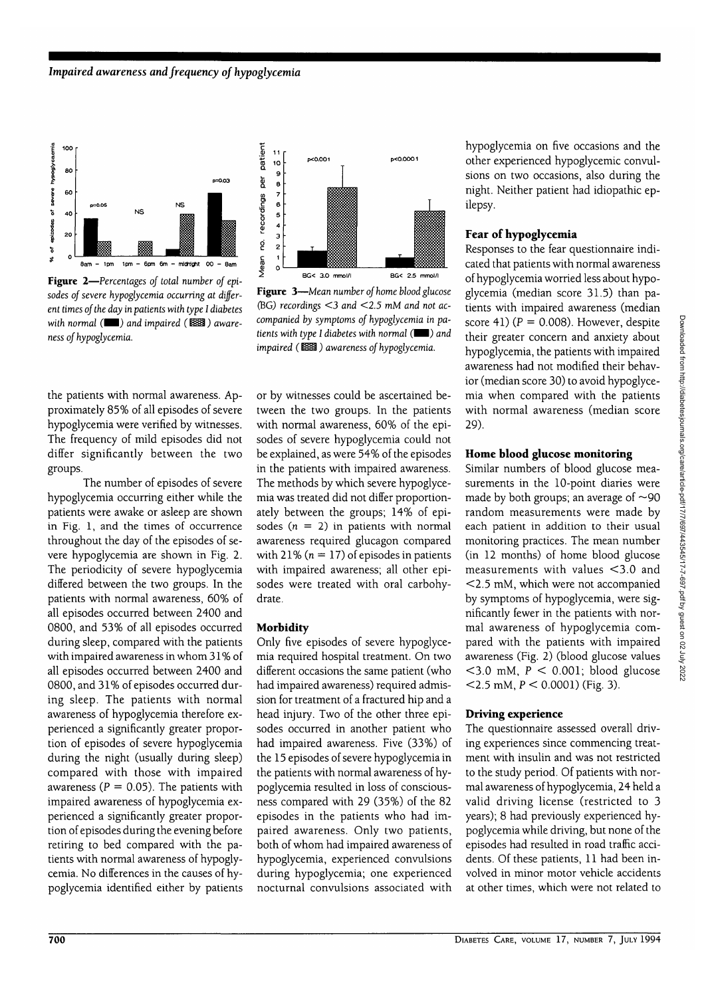

**Figure 2**—*Percentages of total number of episodes of severe hypoglycemia occurring at different times of the day in patients with type 1 diabetes with normal* ( $\Box$ ) and impaired ( $\Box$ ) aware*ness of hypoglycemia.*

the patients with normal awareness. Approximately 85% of all episodes of severe hypoglycemia were verified by witnesses. The frequency of mild episodes did not differ significantly between the two groups.

The number of episodes of severe hypoglycemia occurring either while the patients were awake or asleep are shown in Fig. 1, and the times of occurrence throughout the day of the episodes of severe hypoglycemia are shown in Fig. 2. The periodicity of severe hypoglycemia differed between the two groups. In the patients with normal awareness, 60% of all episodes occurred between 2400 and 0800, and 53% of all episodes occurred during sleep, compared with the patients with impaired awareness in whom 31 % of all episodes occurred between 2400 and 0800, and 31% of episodes occurred during sleep. The patients with normal awareness of hypoglycemia therefore experienced a significantly greater proportion of episodes of severe hypoglycemia during the night (usually during sleep) compared with those with impaired awareness ( $P = 0.05$ ). The patients with impaired awareness of hypoglycemia experienced a significantly greater proportion of episodes during the evening before retiring to bed compared with the patients with normal awareness of hypoglycemia. No differences in the causes of hypoglycemia identified either by patients



**Figure 3**—*Mean number of home blood glucose* (BG) *recordings <3 and <2.5* mM *and not accompanied by symptoms of hypoglycemia in patients with type I diabetes with normal* ( $\Box$ ) and *impaired* ( $\mathbb{R}\times\mathbb{R}$ ) awareness of hypoglycemia.

or by witnesses could be ascertained between the two groups. In the patients with normal awareness, 60% of the episodes of severe hypoglycemia could not be explained, as were 54% of the episodes in the patients with impaired awareness. The methods by which severe hypoglycemia was treated did not differ proportionately between the groups; 14% of episodes ( $n = 2$ ) in patients with normal awareness required glucagon compared with 21% ( $n = 17$ ) of episodes in patients with impaired awareness; all other episodes were treated with oral carbohydrate.

#### **Morbidity**

Only five episodes of severe hypoglycemia required hospital treatment. On two different occasions the same patient (who had impaired awareness) required admission for treatment of a fractured hip and a head injury. Two of the other three episodes occurred in another patient who had impaired awareness. Five (33%) of the 15 episodes of severe hypoglycemia in the patients with normal awareness of hypoglycemia resulted in loss of consciousness compared with 29 (35%) of the 82 episodes in the patients who had impaired awareness. Only two patients, both of whom had impaired awareness of hypoglycemia, experienced convulsions during hypoglycemia; one experienced nocturnal convulsions associated with

hypoglycemia on five occasions and the other experienced hypoglycemic convulsions on two occasions, also during the night. Neither patient had idiopathic epilepsy.

## **Fear of hypoglycemia**

Responses to the fear questionnaire indicated that patients with normal awareness of hypoglycemia worried less about hypoglycemia (median score 31.5) than patients with impaired awareness (median score 41) ( $P = 0.008$ ). However, despite their greater concern and anxiety about hypoglycemia, the patients with impaired awareness had not modified their behavior (median score 30) to avoid hypoglycemia when compared with the patients with normal awareness (median score 29).

## **Home blood glucose monitoring**

Similar numbers of blood glucose measurements in the 10-point diaries were made by both groups; an average of  $\sim$ 90 random measurements were made by each patient in addition to their usual monitoring practices. The mean number (in 12 months) of home blood glucose measurements with values <3.0 and <2.5 mM, which were not accompanied by symptoms of hypoglycemia, were significantly fewer in the patients with normal awareness of hypoglycemia compared with the patients with impaired awareness (Fig. 2) (blood glucose values  $<$ 3.0 mM,  $P < 0.001$ ; blood glucose  $<$  2.5 mM,  $P < 0.0001$ ) (Fig. 3).

#### **Driving experience**

The questionnaire assessed overall driving experiences since commencing treatment with insulin and was not restricted to the study period. Of patients with normal awareness of hypoglycemia, 24 held a valid driving license (restricted to 3 years); 8 had previously experienced hypoglycemia while driving, but none of the episodes had resulted in road traffic accidents. Of these patients, 11 had been involved in minor motor vehicle accidents at other times, which were not related to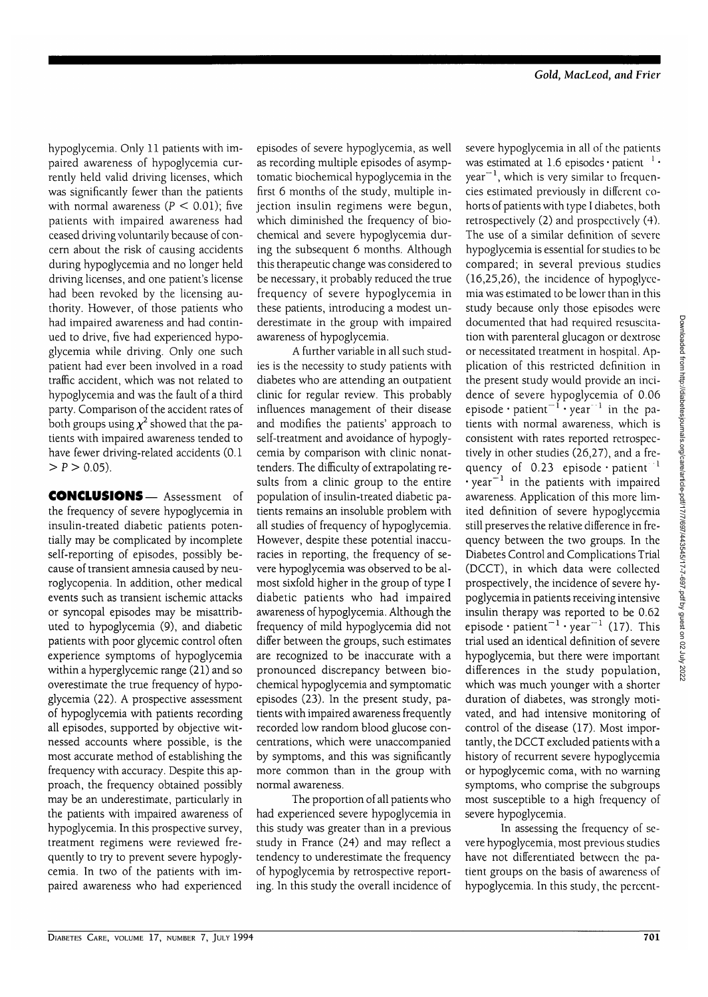hypoglycemia. Only 11 patients with impaired awareness of hypoglycemia currently held valid driving licenses, which was significantly fewer than the patients with normal awareness  $(P < 0.01)$ ; five patients with impaired awareness had ceased driving voluntarily because of concern about the risk of causing accidents during hypoglycemia and no longer held driving licenses, and one patient's license had been revoked by the licensing authority. However, of those patients who had impaired awareness and had continued to drive, five had experienced hypoglycemia while driving. Only one such patient had ever been involved in a road traffic accident, which was not related to hypoglycemia and was the fault of a third party. Comparison of the accident rates of both groups using  $\chi^2$  showed that the patients with impaired awareness tended to have fewer driving-related accidents (0.1  $> P > 0.05$ ).

CONCLUSIONS— Assessment of the frequency of severe hypoglycemia in insulin-treated diabetic patients potentially may be complicated by incomplete self-reporting of episodes, possibly because of transient amnesia caused by neuroglycopenia. In addition, other medical events such as transient ischemic attacks or syncopal episodes may be misattributed to hypoglycemia (9), and diabetic patients with poor glycemic control often experience symptoms of hypoglycemia within a hyperglycemic range (21) and so overestimate the true frequency of hypoglycemia (22). A prospective assessment of hypoglycemia with patients recording all episodes, supported by objective witnessed accounts where possible, is the most accurate method of establishing the frequency with accuracy. Despite this approach, the frequency obtained possibly may be an underestimate, particularly in the patients with impaired awareness of hypoglycemia. In this prospective survey, treatment regimens were reviewed frequently to try to prevent severe hypoglycemia. In two of the patients with impaired awareness who had experienced

episodes of severe hypoglycemia, as well as recording multiple episodes of asymptomatic biochemical hypoglycemia in the first 6 months of the study, multiple injection insulin regimens were begun, which diminished the frequency of biochemical and severe hypoglycemia during the subsequent 6 months. Although this therapeutic change was considered to be necessary, it probably reduced the true frequency of severe hypoglycemia in these patients, introducing a modest underestimate in the group with impaired awareness of hypoglycemia.

A further variable in all such studies is the necessity to study patients with diabetes who are attending an outpatient clinic for regular review. This probably influences management of their disease and modifies the patients' approach to self-treatment and avoidance of hypoglycemia by comparison with clinic nonattenders. The difficulty of extrapolating results from a clinic group to the entire population of insulin-treated diabetic patients remains an insoluble problem with all studies of frequency of hypoglycemia. However, despite these potential inaccuracies in reporting, the frequency of severe hypoglycemia was observed to be almost sixfold higher in the group of type I diabetic patients who had impaired awareness of hypoglycemia. Although the frequency of mild hypoglycemia did not differ between the groups, such estimates are recognized to be inaccurate with a pronounced discrepancy between biochemical hypoglycemia and symptomatic episodes (23). In the present study, patients with impaired awareness frequently recorded low random blood glucose concentrations, which were unaccompanied by symptoms, and this was significantly more common than in the group with normal awareness.

The proportion of all patients who had experienced severe hypoglycemia in this study was greater than in a previous study in France (24) and may reflect a tendency to underestimate the frequency of hypoglycemia by retrospective reporting. In this study the overall incidence of severe hypoglycemia in all of the patients was estimated at 1.6 episodes  $\cdot$  patient  $\cdot$ year $^{-1}$ , which is very similar to frequencies estimated previously in different cohorts of patients with type I diabetes, both retrospectively (2) and prospectively (4). The use of a similar definition of severe hypoglycemia is essential for studies to be compared; in several previous studies (16,25,26), the incidence of hypoglycemia was estimated to be lower than in this study because only those episodes were documented that had required resuscitation with parenteral glucagon or dextrose or necessitated treatment in hospital. Application of this restricted definition in the present study would provide an incidence of severe hypoglycemia of 0.06 episode  $\cdot$  patient $^{-1}$  · year<sup>-1</sup> in the patients with normal awareness, which is consistent with rates reported retrospectively in other studies (26,27), and a frequency of 0.23 episode • patient  $^{-1}$  $\cdot$  vear<sup>-1</sup> in the patients with impaired awareness. Application of this more limited definition of severe hypoglycemia still preserves the relative difference in frequency between the two groups. In the Diabetes Control and Complications Trial (DCCT), in which data were collected prospectively, the incidence of severe hypoglycemia in patients receiving intensive insulin therapy was reported to be 0.62  $m$  is unit thereby was reported to be 0.02 trial used an identical definition of severe hypoglycemia, but there were important differences in the study population, which was much younger with a shorter which was much younger with a shorter vated, and had interests was strongly monvated, and had intensive monitoring of<br>control of the disease (17). Most impor- $\frac{1}{2}$  the disease  $\left(17\right)$ , wost importantly, the DCCT excluded patients with a history of recurrent severe hypoglycemia<br>or hypoglycemic coma, with no warning of hypoglycemic coma, while no warning symptoms, who compuse the subgroups most susceptible to a high frequency of severe hypoglycemia.

In assessing the frequency of severe hypoglycemia, most previous studies have not differentiated between the patient groups on the basis of awareness of hypoglycemia. In this study, the percent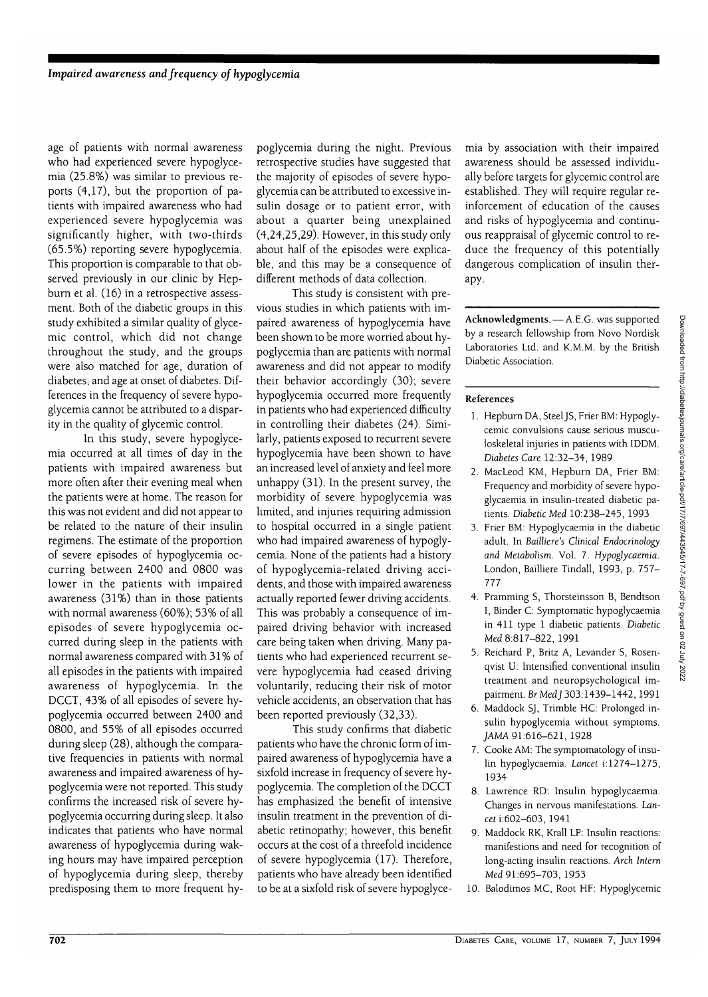*age* of patients with normal awareness who had experienced severe hypoglycemia (25.8%) was similar to previous reports (4,17), but the proportion of patients with impaired awareness who had experienced severe hypoglycemia was significantly higher, with two-thirds (65.5%) reporting severe hypoglycemia. This proportion is comparable to that observed previously in our clinic by Hepburn et al. (16) in a retrospective assessment. Both of the diabetic groups in this study exhibited a similar quality of glycemic control, which did not change throughout the study, and the groups were also matched for age, duration of diabetes, and age at onset of diabetes. Differences in the frequency of severe hypoglycemia cannot be attributed to a disparity in the quality of glycemic control.

In this study, severe hypoglycemia occurred at all times of day in the patients with impaired awareness but more often after their evening meal when the patients were at home. The reason for this was not evident and did not appear to be related to the nature of their insulin regimens. The estimate of the proportion of severe episodes of hypoglycemia occurring between 2400 and 0800 was lower in the patients with impaired awareness (31%) than in those patients with normal awareness (60%); 53% of all episodes of severe hypoglycemia occurred during sleep in the patients with normal awareness compared with 31% of all episodes in the patients with impaired awareness of hypoglycemia. In the DCCT, 43% of all episodes of severe hypoglycemia occurred between 2400 and 0800, and 55% of all episodes occurred during sleep (28), although the comparative frequencies in patients with normal awareness and impaired awareness of hypoglycemia were not reported. This study confirms the increased risk of severe hypoglycemia occurring during sleep. It also indicates that patients who have normal awareness of hypoglycemia during waking hours may have impaired perception of hypoglycemia during sleep, thereby predisposing them to more frequent hy-

poglycemia during the night. Previous retrospective studies have suggested that the majority of episodes of severe hypoglycemia can be attributed to excessive insulin dosage or to patient error, with about a quarter being unexplained (4,24,25,29). However, in this study only about half of the episodes were explicable, and this may be a consequence of different methods of data collection.

This study is consistent with previous studies in which patients with impaired awareness of hypoglycemia have been shown to be more worried about hypoglycemia than are patients with normal awareness and did not appear to modify their behavior accordingly (30); severe hypoglycemia occurred more frequently in patients who had experienced difficulty in controlling their diabetes (24). Similarly, patients exposed to recurrent severe hypoglycemia have been shown to have an increased level of anxiety and feel more unhappy (31). In the present survey, the morbidity of severe hypoglycemia was limited, and injuries requiring admission to hospital occurred in a single patient who had impaired awareness of hypoglycemia. None of the patients had a history of hypoglycemia-related driving accidents, and those with impaired awareness actually reported fewer driving accidents. This was probably a consequence of impaired driving behavior with increased care being taken when driving. Many patients who had experienced recurrent severe hypoglycemia had ceased driving voluntarily, reducing their risk of motor vehicle accidents, an observation that has been reported previously (32,33).

This study confirms that diabetic patients who have the chronic form of impaired awareness of hypoglycemia have a sixfold increase in frequency of severe hypoglycemia. The completion of the DCCT has emphasized the benefit of intensive insulin treatment in the prevention of diabetic retinopathy; however, this benefit occurs at the cost of a threefold incidence of severe hypoglycemia (17). Therefore, patients who have already been identified to be at a sixfold risk of severe hypoglycemia by association with their impaired awareness should be assessed individually before targets for glycemic control are established. They will require regular reinforcement of education of the causes and risks of hypoglycemia and continuous reappraisal of glycemic control to reduce the frequency of this potentially dangerous complication of insulin therapy.

**Acknowledgments.** — A.E.G. was supported by a research fellowship from Novo Nordisk Laboratories Ltd. and K.M.M. by the British Diabetic Association.

#### **References**

- 1. Hepburn DA, Steel JS, Frier BM: Hypoglycemic convulsions cause serious musculoskeletal injuries in patients with IDDM. *Diabetes Care* 12:32-34, 1989
- 2. MacLeod KM, Hepburn DA, Frier BM: Frequency and morbidity of severe hypoglycaemia in insulin-treated diabetic patients. *Diabetic Med* 10:238-245, 1993
- 3. Frier BM: Hypoglycaemia in the diabetic adult. In *Bailliere's Clinical Endocrinology and Metabolism.* Vol. 7. *Hypoglycaemia.* London, Bailliere Tindall, 1993, p. 757- 777
- 4. Pramming S, Thorsteinsson B, Bendtson I, Binder C: Symptomatic hypoglycaemia in 411 type 1 diabetic patients. *Diabetic* Med 8:817-822, 1991
- 5. Reichard P, Britz A, Levander S, Rosenqvist U: Intensified conventional insulin treatment and neuropsychological impairment. Br Med J 303:1439-1442, 1991
- 6. Maddock SJ, Trimble HC: Prolonged insulin hypoglycemia without symptoms. JAMA 91:616-621, 1928
- 7. Cooke AM: The symptomatology of insulin hypoglycaemia. *Lancet* i: 1274-1275, 1934
- 8. Lawrence RD: Insulin hypoglycaemia. Changes in nervous manifestations. *Lancet* i:602-603, 1941
- 9. Maddock RK, Krall LP: Insulin reactions: manifestions and need for recognition of long-acting insulin reactions. *Arch Intern* Med 91:695-703, 1953
- 10. Balodimos MC, Root HF: Hypoglycemic